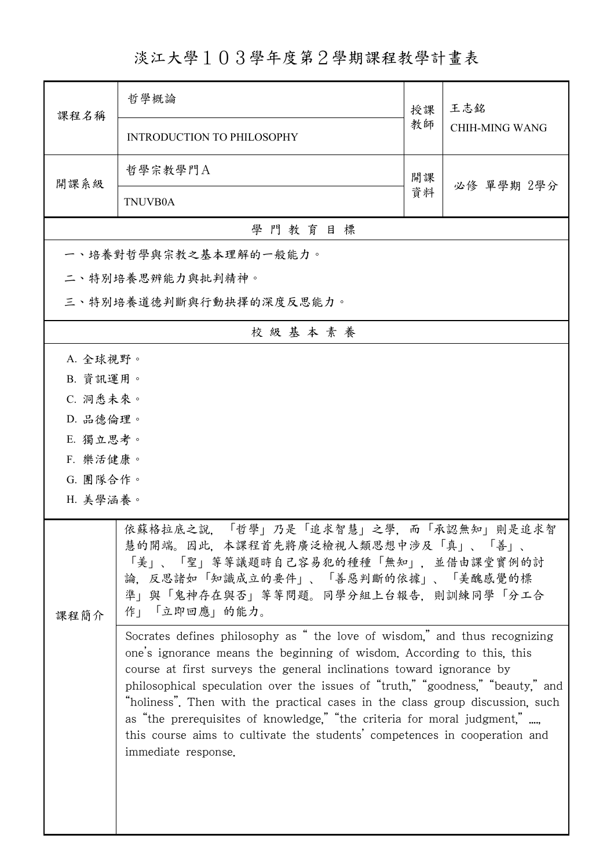## 淡江大學103學年度第2學期課程教學計畫表

| 課程名稱                 | 哲學概論                                                                                                                                                                                                                                                                                                                                                                                                                                                                                                                                                                             | 授課 | 王志銘<br><b>CHIH-MING WANG</b> |  |  |  |  |  |
|----------------------|----------------------------------------------------------------------------------------------------------------------------------------------------------------------------------------------------------------------------------------------------------------------------------------------------------------------------------------------------------------------------------------------------------------------------------------------------------------------------------------------------------------------------------------------------------------------------------|----|------------------------------|--|--|--|--|--|
|                      | <b>INTRODUCTION TO PHILOSOPHY</b>                                                                                                                                                                                                                                                                                                                                                                                                                                                                                                                                                | 教師 |                              |  |  |  |  |  |
| 開課系級                 | 哲學宗教學門A                                                                                                                                                                                                                                                                                                                                                                                                                                                                                                                                                                          | 開課 | 必修 單學期 2學分                   |  |  |  |  |  |
|                      | <b>TNUVB0A</b>                                                                                                                                                                                                                                                                                                                                                                                                                                                                                                                                                                   | 資料 |                              |  |  |  |  |  |
|                      | 學門教育目標                                                                                                                                                                                                                                                                                                                                                                                                                                                                                                                                                                           |    |                              |  |  |  |  |  |
|                      | 一、培養對哲學與宗教之基本理解的一般能力。                                                                                                                                                                                                                                                                                                                                                                                                                                                                                                                                                            |    |                              |  |  |  |  |  |
|                      | 二、特別培養思辨能力與批判精神。                                                                                                                                                                                                                                                                                                                                                                                                                                                                                                                                                                 |    |                              |  |  |  |  |  |
|                      | 三、特別培養道德判斷與行動抉擇的深度反思能力。                                                                                                                                                                                                                                                                                                                                                                                                                                                                                                                                                          |    |                              |  |  |  |  |  |
|                      | 校級基本素養                                                                                                                                                                                                                                                                                                                                                                                                                                                                                                                                                                           |    |                              |  |  |  |  |  |
| A. 全球視野。             |                                                                                                                                                                                                                                                                                                                                                                                                                                                                                                                                                                                  |    |                              |  |  |  |  |  |
| B. 資訊運用。             |                                                                                                                                                                                                                                                                                                                                                                                                                                                                                                                                                                                  |    |                              |  |  |  |  |  |
| C. 洞悉未來。             |                                                                                                                                                                                                                                                                                                                                                                                                                                                                                                                                                                                  |    |                              |  |  |  |  |  |
| D. 品德倫理。             |                                                                                                                                                                                                                                                                                                                                                                                                                                                                                                                                                                                  |    |                              |  |  |  |  |  |
| E. 獨立思考。             |                                                                                                                                                                                                                                                                                                                                                                                                                                                                                                                                                                                  |    |                              |  |  |  |  |  |
| F. 樂活健康。<br>G. 團隊合作。 |                                                                                                                                                                                                                                                                                                                                                                                                                                                                                                                                                                                  |    |                              |  |  |  |  |  |
| H. 美學涵養。             |                                                                                                                                                                                                                                                                                                                                                                                                                                                                                                                                                                                  |    |                              |  |  |  |  |  |
|                      |                                                                                                                                                                                                                                                                                                                                                                                                                                                                                                                                                                                  |    |                              |  |  |  |  |  |
| 課程簡介                 | 依蘇格拉底之說, 「哲學」乃是「追求智慧」之學, 而「承認無知」則是追求智<br>慧的開端。因此,本課程首先將廣泛檢視人類思想中涉及「真」、「善」、<br>「美」、「聖」等等議題時自己容易犯的種種「無知」, 並借由課堂實例的討<br>論,反思諸如「知識成立的要件」、「善惡判斷的依據」、「美醜感覺的標<br>準」與「鬼神存在與否」等等問題。同學分組上台報告,則訓練同學「分工合<br>作」「立即回應」的能力。                                                                                                                                                                                                                                                                                                                                                                     |    |                              |  |  |  |  |  |
|                      | Socrates defines philosophy as " the love of wisdom," and thus recognizing<br>one's ignorance means the beginning of wisdom. According to this, this<br>course at first surveys the general inclinations toward ignorance by<br>philosophical speculation over the issues of "truth," "goodness," "beauty," and<br>"holiness". Then with the practical cases in the class group discussion, such<br>as "the prerequisites of knowledge," "the criteria for moral judgment,"<br>this course aims to cultivate the students' competences in cooperation and<br>immediate response. |    |                              |  |  |  |  |  |

ı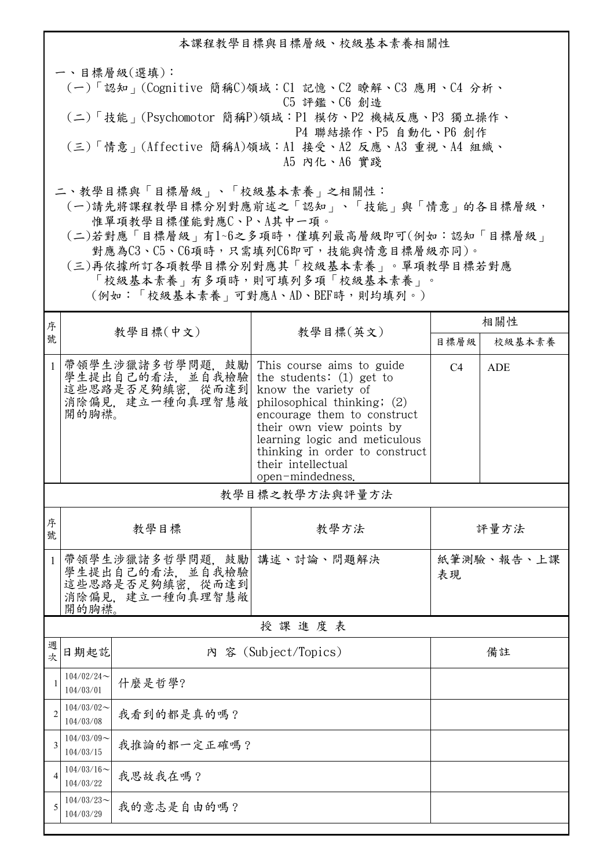本課程教學目標與目標層級、校級基本素養相關性 一、目標層級(選填): (一)「認知」(Cognitive 簡稱C)領域:C1 記憶、C2 瞭解、C3 應用、C4 分析、 C5 評鑑、C6 創造 (二)「技能」(Psychomotor 簡稱P)領域:P1 模仿、P2 機械反應、P3 獨立操作、 P4 聯結操作、P5 自動化、P6 創作 (三)「情意」(Affective 簡稱A)領域:A1 接受、A2 反應、A3 重視、A4 組織、 A5 內化、A6 實踐 二、教學目標與「目標層級」、「校級基本素養」之相關性: (一)請先將課程教學目標分別對應前述之「認知」、「技能」與「情意」的各目標層級, 惟單項教學目標僅能對應C、P、A其中一項。

 (二)若對應「目標層級」有1~6之多項時,僅填列最高層級即可(例如:認知「目標層級」 對應為C3、C5、C6項時,只需填列C6即可,技能與情意目標層級亦同)。

 (三)再依據所訂各項教學目標分別對應其「校級基本素養」。單項教學目標若對應 「校級基本素養」有多項時,則可填列多項「校級基本素養」。 (例如:「校級基本素養」可對應A、AD、BEF時,則均填列。)

| 序              |                                                                                                  | 教學目標(中文)                                                 | 教學目標(英文)                                                                                                                                                                                                                                                                                              | 相關性              |            |  |  |
|----------------|--------------------------------------------------------------------------------------------------|----------------------------------------------------------|-------------------------------------------------------------------------------------------------------------------------------------------------------------------------------------------------------------------------------------------------------------------------------------------------------|------------------|------------|--|--|
| 號              |                                                                                                  |                                                          |                                                                                                                                                                                                                                                                                                       | 目標層級             | 校級基本素養     |  |  |
| 1              | 開的胸襟。                                                                                            | 學生提出自己的看法, 並自我檢驗<br>這些思路是否足夠縝密, 從而達到<br>消除偏見, 建立一種向真理智慧敞 | 帶領學生涉獵諸多哲學問題,鼓勵 This course aims to guide<br>the students: $(1)$ get to<br>know the variety of<br>philosophical thinking; (2)<br>encourage them to construct<br>their own view points by<br>learning logic and meticulous<br>thinking in order to construct<br>their intellectual<br>open-mindedness. | C <sub>4</sub>   | <b>ADE</b> |  |  |
|                |                                                                                                  |                                                          | 教學目標之教學方法與評量方法                                                                                                                                                                                                                                                                                        |                  |            |  |  |
| 序<br>號         |                                                                                                  | 教學目標                                                     | 教學方法                                                                                                                                                                                                                                                                                                  |                  | 評量方法       |  |  |
| $\mathbf{1}$   | 带領學生涉獵諸多哲學問題, 鼓勵 講述、討論、問題解決<br>學生提出自己的看法, 並自我檢驗<br>這些思路是否足夠縝密, 從而達到<br>消除偏見, 建立一種向真理智慧敞<br>開的胸襟。 |                                                          |                                                                                                                                                                                                                                                                                                       | 紙筆測驗、報告、上課<br>表現 |            |  |  |
|                | 授課進度表                                                                                            |                                                          |                                                                                                                                                                                                                                                                                                       |                  |            |  |  |
| 週<br>次         | 日期起訖                                                                                             |                                                          | 內 容 (Subject/Topics)                                                                                                                                                                                                                                                                                  |                  | 備註         |  |  |
| $\mathbf{1}$   | $104/02/24$ ~<br>104/03/01                                                                       | 什麼是哲學?                                                   |                                                                                                                                                                                                                                                                                                       |                  |            |  |  |
| $\overline{2}$ | $104/03/02$ ~<br>104/03/08                                                                       | 我看到的都是真的嗎?                                               |                                                                                                                                                                                                                                                                                                       |                  |            |  |  |
| 3              | $104/03/09$ ~<br>我推論的都一定正確嗎?<br>104/03/15                                                        |                                                          |                                                                                                                                                                                                                                                                                                       |                  |            |  |  |
| $\overline{4}$ | $104/03/16 \sim$<br>我思故我在嗎?<br>104/03/22                                                         |                                                          |                                                                                                                                                                                                                                                                                                       |                  |            |  |  |
| 5              | $104/03/23$ ~<br>104/03/29                                                                       | 我的意志是自由的嗎?                                               |                                                                                                                                                                                                                                                                                                       |                  |            |  |  |
|                |                                                                                                  |                                                          |                                                                                                                                                                                                                                                                                                       |                  |            |  |  |